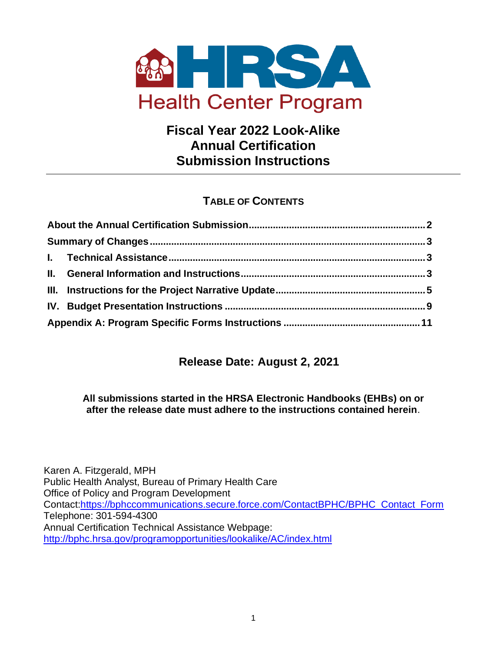<span id="page-0-0"></span>

# **Fiscal Year 2022 Look-Alike Annual Certification Submission Instructions**

# **TABLE OF CONTENTS**

## **Release Date: August 2, 2021**

#### **All submissions started in the HRSA Electronic Handbooks (EHBs) on or after the release date must adhere to the instructions contained herein**.

Karen A. Fitzgerald, MPH Public Health Analyst, Bureau of Primary Health Care Office of Policy and Program Development Contact[:https://bphccommunications.secure.force.com/ContactBPHC/BPHC\\_Contact\\_Form](https://bphccommunications.secure.force.com/ContactBPHC/BPHC_Contact_Form) Telephone: 301-594-4300 Annual Certification Technical Assistance Webpage: <http://bphc.hrsa.gov/programopportunities/lookalike/AC/index.html>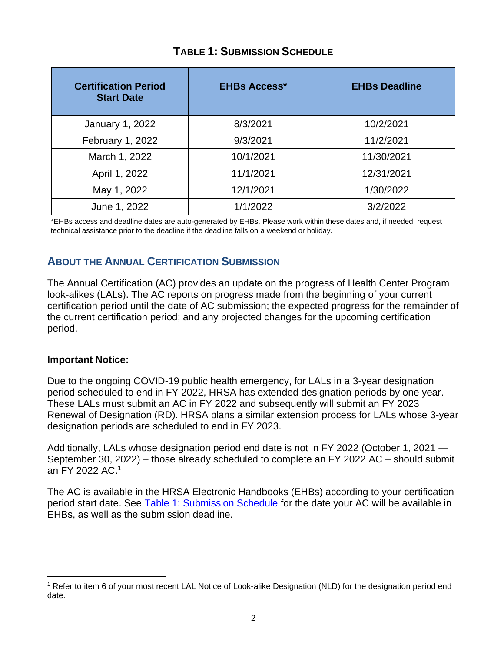<span id="page-1-1"></span>

| <b>Certification Period</b><br><b>Start Date</b> | <b>EHBs Access*</b> | <b>EHBs Deadline</b> |  |  |
|--------------------------------------------------|---------------------|----------------------|--|--|
| January 1, 2022                                  | 8/3/2021            | 10/2/2021            |  |  |
| February 1, 2022                                 | 9/3/2021            | 11/2/2021            |  |  |
| March 1, 2022                                    | 10/1/2021           | 11/30/2021           |  |  |
| April 1, 2022                                    | 11/1/2021           | 12/31/2021           |  |  |
| May 1, 2022                                      | 12/1/2021           | 1/30/2022            |  |  |
| June 1, 2022                                     | 1/1/2022            | 3/2/2022             |  |  |

## **TABLE 1: SUBMISSION SCHEDULE**

\*EHBs access and deadline dates are auto-generated by EHBs. Please work within these dates and, if needed, request technical assistance prior to the deadline if the deadline falls on a weekend or holiday.

## <span id="page-1-0"></span>**ABOUT THE ANNUAL CERTIFICATION SUBMISSION**

The Annual Certification (AC) provides an update on the progress of Health Center Program look-alikes (LALs). The AC reports on progress made from the beginning of your current certification period until the date of AC submission; the expected progress for the remainder of the current certification period; and any projected changes for the upcoming certification period.

#### **Important Notice:**

Due to the ongoing COVID-19 public health emergency, for LALs in a 3-year designation period scheduled to end in FY 2022, HRSA has extended designation periods by one year. These LALs must submit an AC in FY 2022 and subsequently will submit an FY 2023 Renewal of Designation (RD). HRSA plans a similar extension process for LALs whose 3-year designation periods are scheduled to end in FY 2023.

Additionally, LALs whose designation period end date is not in FY 2022 (October 1, 2021 — September 30, 2022) – those already scheduled to complete an FY 2022 AC – should submit an FY 2022 AC. 1

The AC is available in the HRSA Electronic Handbooks (EHBs) according to your certification period start date. See [Table 1: Submission Schedule f](#page-1-1)or the date your AC will be available in EHBs, as well as the submission deadline.

<sup>1</sup> Refer to item 6 of your most recent LAL Notice of Look-alike Designation (NLD) for the designation period end date.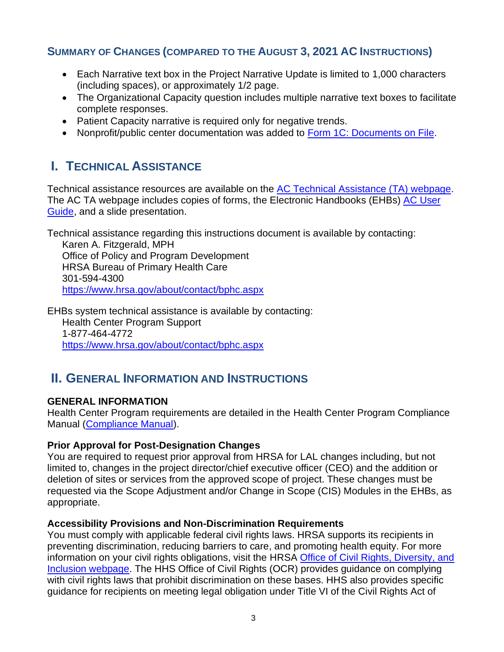### <span id="page-2-0"></span>**SUMMARY OF CHANGES (COMPARED TO THE AUGUST 3, 2021 AC INSTRUCTIONS)**

- Each Narrative text box in the Project Narrative Update is limited to 1,000 characters (including spaces), or approximately 1/2 page.
- The Organizational Capacity question includes multiple narrative text boxes to facilitate complete responses.
- Patient Capacity narrative is required only for negative trends.
- Nonprofit/public center documentation was added to [Form 1C: Documents on File.](#page-10-1)

# <span id="page-2-1"></span>**I. TECHNICAL ASSISTANCE**

Technical assistance resources are available on the [AC Technical Assistance \(TA\) webpage.](https://bphc.hrsa.gov/programopportunities/lookalike/AC/index.html) The AC TA webpage includes copies of forms, the Electronic Handbooks (EHBs) [AC User](https://help.hrsa.gov/display/public/EHBSKBFG/Look-Alike+Annual+Certification+Application+User+Guide)  [Guide,](https://help.hrsa.gov/display/public/EHBSKBFG/Look-Alike+Annual+Certification+Application+User+Guide) and a slide presentation.

Technical assistance regarding this instructions document is available by contacting:

Karen A. Fitzgerald, MPH Office of Policy and Program Development HRSA Bureau of Primary Health Care 301-594-4300 <https://www.hrsa.gov/about/contact/bphc.aspx>

EHBs system technical assistance is available by contacting: Health Center Program Support 1-877-464-4772 <https://www.hrsa.gov/about/contact/bphc.aspx>

# <span id="page-2-2"></span>**II. GENERAL INFORMATION AND INSTRUCTIONS**

### **GENERAL INFORMATION**

Health Center Program requirements are detailed in the [Health Center Program Compliance](https://bphc.hrsa.gov/programrequirements/compliancemanual/introduction.html)  [Manual \(Compliance Manual\)](https://bphc.hrsa.gov/programrequirements/compliancemanual/introduction.html).

### **Prior Approval for Post-Designation Changes**

You are required to request prior approval from HRSA for LAL changes including, but not limited to, changes in the project director/chief executive officer (CEO) and the addition or deletion of sites or services from the approved scope of project. These changes must be requested via the Scope Adjustment and/or Change in Scope (CIS) Modules in the EHBs, as appropriate.

#### **Accessibility Provisions and Non-Discrimination Requirements**

You must comply with applicable federal civil rights laws. HRSA supports its recipients in preventing discrimination, reducing barriers to care, and promoting health equity. For more information on your civil rights obligations, visit the HRSA [Office of Civil Rights, Diversity, and](https://www.hrsa.gov/about/organization/bureaus/ocrdi#recipients)  [Inclusion webpage.](https://www.hrsa.gov/about/organization/bureaus/ocrdi#recipients) The HHS Office of Civil Rights (OCR) provides guidance on complying with civil rights laws that prohibit discrimination on these bases. HHS also provides specific guidance for recipients on meeting legal obligation under Title VI of the Civil Rights Act of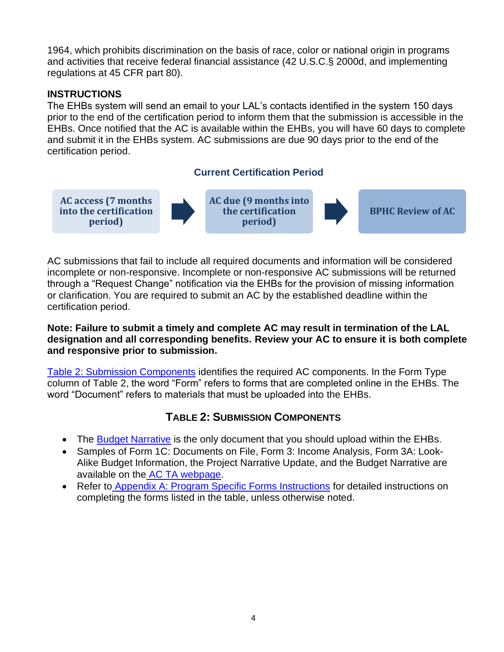1964, which prohibits discrimination on the basis of race, color or national origin in programs and activities that receive federal financial assistance (42 U.S.C.§ 2000d, and implementing regulations at 45 CFR part 80).

### **INSTRUCTIONS**

The EHBs system will send an email to your LAL's contacts identified in the system 150 days prior to the end of the certification period to inform them that the submission is accessible in the EHBs. Once notified that the AC is available within the EHBs, you will have 60 days to complete and submit it in the EHBs system. AC submissions are due 90 days prior to the end of the certification period.

### **Current Certification Period**



AC submissions that fail to include all required documents and information will be considered incomplete or non-responsive. Incomplete or non-responsive AC submissions will be returned through a "Request Change" notification via the EHBs for the provision of missing information or clarification. You are required to submit an AC by the established deadline within the certification period.

#### **Note: Failure to submit a timely and complete AC may result in termination of the LAL designation and all corresponding benefits. Review your AC to ensure it is both complete and responsive prior to submission.**

[Table 2: Submission Components](#page-3-0) identifies the required AC components. In the Form Type column of Table 2, the word "Form" refers to forms that are completed online in the EHBs. The word "Document" refers to materials that must be uploaded into the EHBs.

## **TABLE 2: SUBMISSION COMPONENTS**

- The [Budget Narrative](#page-8-1) is the only document that you should upload within the EHBs.
- Samples of Form 1C: Documents on File, Form 3: Income Analysis, Form 3A: Look-Alike Budget Information, the Project Narrative Update, and the Budget Narrative are available on the [AC TA webpage.](http://bphc.hrsa.gov/programopportunities/lookalike/index.html)
- <span id="page-3-0"></span>• Refer t[o Appendix A: Program Specific Forms Instructions](#page-10-0) for detailed instructions on completing the forms listed in the table, unless otherwise noted.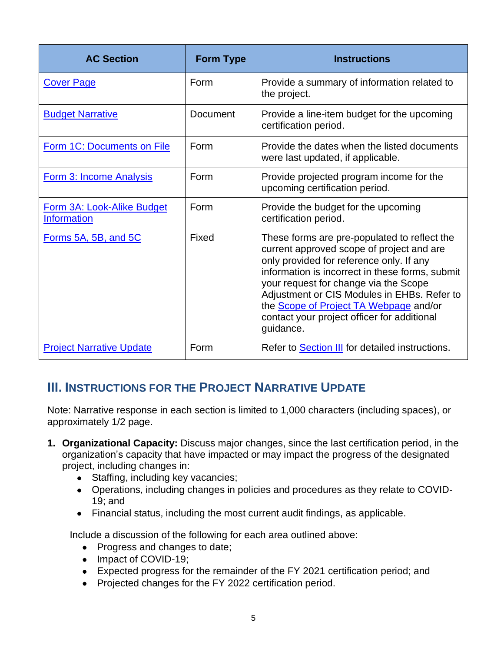| <b>AC Section</b>                                       | <b>Form Type</b> | <b>Instructions</b>                                                                                                                                                                                                                                                                                                                                                                           |
|---------------------------------------------------------|------------------|-----------------------------------------------------------------------------------------------------------------------------------------------------------------------------------------------------------------------------------------------------------------------------------------------------------------------------------------------------------------------------------------------|
| <b>Cover Page</b>                                       | Form             | Provide a summary of information related to<br>the project.                                                                                                                                                                                                                                                                                                                                   |
| <b>Budget Narrative</b>                                 | Document         | Provide a line-item budget for the upcoming<br>certification period.                                                                                                                                                                                                                                                                                                                          |
| Form 1C: Documents on File                              | Form             | Provide the dates when the listed documents<br>were last updated, if applicable.                                                                                                                                                                                                                                                                                                              |
| Form 3: Income Analysis                                 | Form             | Provide projected program income for the<br>upcoming certification period.                                                                                                                                                                                                                                                                                                                    |
| <b>Form 3A: Look-Alike Budget</b><br><b>Information</b> | Form             | Provide the budget for the upcoming<br>certification period.                                                                                                                                                                                                                                                                                                                                  |
| Forms 5A, 5B, and 5C                                    | Fixed            | These forms are pre-populated to reflect the<br>current approved scope of project and are<br>only provided for reference only. If any<br>information is incorrect in these forms, submit<br>your request for change via the Scope<br>Adjustment or CIS Modules in EHBs. Refer to<br>the <b>Scope of Project TA Webpage</b> and/or<br>contact your project officer for additional<br>guidance. |
| <b>Project Narrative Update</b>                         | Form             | Refer to <b>Section III</b> for detailed instructions.                                                                                                                                                                                                                                                                                                                                        |

# <span id="page-4-1"></span><span id="page-4-0"></span>**III. INSTRUCTIONS FOR THE PROJECT NARRATIVE UPDATE**

Note: Narrative response in each section is limited to 1,000 characters (including spaces), or approximately 1/2 page.

- **1. Organizational Capacity:** Discuss major changes, since the last certification period, in the organization's capacity that have impacted or may impact the progress of the designated project, including changes in:
	- Staffing, including key vacancies;
	- Operations, including changes in policies and procedures as they relate to COVID-19; and
	- Financial status, including the most current audit findings, as applicable.

Include a discussion of the following for each area outlined above:

- Progress and changes to date;
- Impact of COVID-19;
- Expected progress for the remainder of the FY 2021 certification period; and
- Projected changes for the FY 2022 certification period.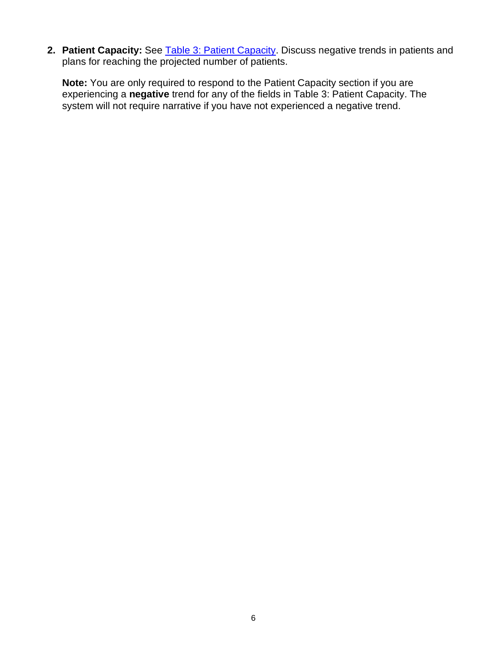2. **Patient Capacity:** See **Table 3: Patient Capacity**. Discuss negative trends in patients and plans for reaching the projected number of patients.

**Note:** You are only required to respond to the Patient Capacity section if you are experiencing a **negative** trend for any of the fields in Table 3: Patient Capacity. The system will not require narrative if you have not experienced a negative trend.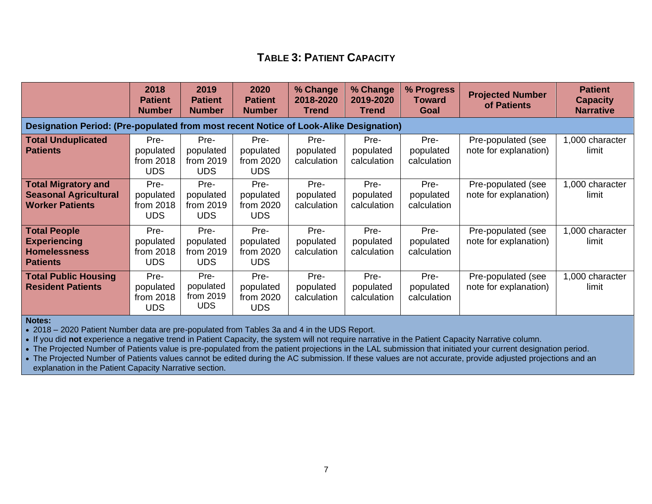## **TABLE 3: PATIENT CAPACITY**

<span id="page-6-0"></span>

|                                                                                       | 2018<br><b>Patient</b><br><b>Number</b>      | 2019<br><b>Patient</b><br><b>Number</b>      | 2020<br><b>Patient</b><br><b>Number</b>      | % Change<br>2018-2020<br>Trend   | % Change<br>2019-2020<br><b>Trend</b> | % Progress<br><b>Toward</b><br>Goal | <b>Projected Number</b><br>of Patients      | <b>Patient</b><br><b>Capacity</b><br><b>Narrative</b> |
|---------------------------------------------------------------------------------------|----------------------------------------------|----------------------------------------------|----------------------------------------------|----------------------------------|---------------------------------------|-------------------------------------|---------------------------------------------|-------------------------------------------------------|
| Designation Period: (Pre-populated from most recent Notice of Look-Alike Designation) |                                              |                                              |                                              |                                  |                                       |                                     |                                             |                                                       |
| <b>Total Unduplicated</b><br><b>Patients</b>                                          | Pre-<br>populated<br>from 2018<br><b>UDS</b> | Pre-<br>populated<br>from 2019<br><b>UDS</b> | Pre-<br>populated<br>from 2020<br><b>UDS</b> | Pre-<br>populated<br>calculation | Pre-<br>populated<br>calculation      | Pre-<br>populated<br>calculation    | Pre-populated (see<br>note for explanation) | 1,000 character<br>limit                              |
| <b>Total Migratory and</b><br><b>Seasonal Agricultural</b><br><b>Worker Patients</b>  | Pre-<br>populated<br>from 2018<br><b>UDS</b> | Pre-<br>populated<br>from 2019<br><b>UDS</b> | Pre-<br>populated<br>from 2020<br><b>UDS</b> | Pre-<br>populated<br>calculation | Pre-<br>populated<br>calculation      | Pre-<br>populated<br>calculation    | Pre-populated (see<br>note for explanation) | 1,000 character<br>limit                              |
| <b>Total People</b><br><b>Experiencing</b><br><b>Homelessness</b><br><b>Patients</b>  | Pre-<br>populated<br>from 2018<br><b>UDS</b> | Pre-<br>populated<br>from 2019<br><b>UDS</b> | Pre-<br>populated<br>from 2020<br><b>UDS</b> | Pre-<br>populated<br>calculation | Pre-<br>populated<br>calculation      | Pre-<br>populated<br>calculation    | Pre-populated (see<br>note for explanation) | 1,000 character<br>limit                              |
| <b>Total Public Housing</b><br><b>Resident Patients</b>                               | Pre-<br>populated<br>from 2018<br><b>UDS</b> | Pre-<br>populated<br>from 2019<br><b>UDS</b> | Pre-<br>populated<br>from 2020<br><b>UDS</b> | Pre-<br>populated<br>calculation | Pre-<br>populated<br>calculation      | Pre-<br>populated<br>calculation    | Pre-populated (see<br>note for explanation) | 1,000 character<br>limit                              |

**Notes:** 

• 2018 – 2020 Patient Number data are pre-populated from Tables 3a and 4 in the UDS Report.

• If you did **not** experience a negative trend in Patient Capacity, the system will not require narrative in the Patient Capacity Narrative column.

• The Projected Number of Patients value is pre-populated from the patient projections in the LAL submission that initiated your current designation period.

• The Projected Number of Patients values cannot be edited during the AC submission. If these values are not accurate, provide adjusted projections and an explanation in the Patient Capacity Narrative section.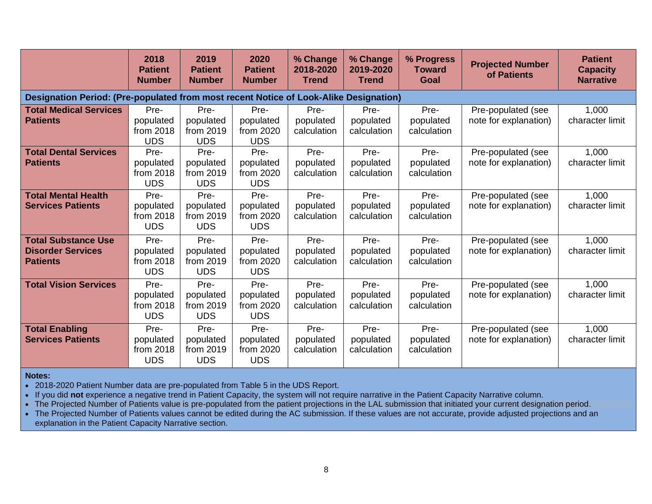|                                                                                       | 2018<br><b>Patient</b><br><b>Number</b>      | 2019<br><b>Patient</b><br><b>Number</b>      | 2020<br><b>Patient</b><br><b>Number</b>      | % Change<br>2018-2020<br><b>Trend</b> | % Change<br>2019-2020<br><b>Trend</b> | % Progress<br><b>Toward</b><br>Goal | <b>Projected Number</b><br>of Patients      | <b>Patient</b><br><b>Capacity</b><br><b>Narrative</b> |
|---------------------------------------------------------------------------------------|----------------------------------------------|----------------------------------------------|----------------------------------------------|---------------------------------------|---------------------------------------|-------------------------------------|---------------------------------------------|-------------------------------------------------------|
| Designation Period: (Pre-populated from most recent Notice of Look-Alike Designation) |                                              |                                              |                                              |                                       |                                       |                                     |                                             |                                                       |
| <b>Total Medical Services</b><br><b>Patients</b>                                      | Pre-<br>populated<br>from 2018<br><b>UDS</b> | Pre-<br>populated<br>from 2019<br><b>UDS</b> | Pre-<br>populated<br>from 2020<br><b>UDS</b> | Pre-<br>populated<br>calculation      | Pre-<br>populated<br>calculation      | Pre-<br>populated<br>calculation    | Pre-populated (see<br>note for explanation) | 1,000<br>character limit                              |
| <b>Total Dental Services</b><br><b>Patients</b>                                       | Pre-<br>populated<br>from 2018<br><b>UDS</b> | Pre-<br>populated<br>from 2019<br><b>UDS</b> | Pre-<br>populated<br>from 2020<br><b>UDS</b> | Pre-<br>populated<br>calculation      | Pre-<br>populated<br>calculation      | Pre-<br>populated<br>calculation    | Pre-populated (see<br>note for explanation) | 1,000<br>character limit                              |
| <b>Total Mental Health</b><br><b>Services Patients</b>                                | Pre-<br>populated<br>from 2018<br><b>UDS</b> | Pre-<br>populated<br>from 2019<br><b>UDS</b> | Pre-<br>populated<br>from 2020<br><b>UDS</b> | Pre-<br>populated<br>calculation      | Pre-<br>populated<br>calculation      | Pre-<br>populated<br>calculation    | Pre-populated (see<br>note for explanation) | 1,000<br>character limit                              |
| <b>Total Substance Use</b><br><b>Disorder Services</b><br><b>Patients</b>             | Pre-<br>populated<br>from 2018<br><b>UDS</b> | Pre-<br>populated<br>from 2019<br><b>UDS</b> | Pre-<br>populated<br>from 2020<br><b>UDS</b> | Pre-<br>populated<br>calculation      | Pre-<br>populated<br>calculation      | Pre-<br>populated<br>calculation    | Pre-populated (see<br>note for explanation) | 1,000<br>character limit                              |
| <b>Total Vision Services</b>                                                          | Pre-<br>populated<br>from 2018<br><b>UDS</b> | Pre-<br>populated<br>from 2019<br><b>UDS</b> | Pre-<br>populated<br>from 2020<br><b>UDS</b> | Pre-<br>populated<br>calculation      | Pre-<br>populated<br>calculation      | Pre-<br>populated<br>calculation    | Pre-populated (see<br>note for explanation) | 1,000<br>character limit                              |
| <b>Total Enabling</b><br><b>Services Patients</b>                                     | Pre-<br>populated<br>from 2018<br><b>UDS</b> | Pre-<br>populated<br>from 2019<br><b>UDS</b> | Pre-<br>populated<br>from 2020<br><b>UDS</b> | Pre-<br>populated<br>calculation      | Pre-<br>populated<br>calculation      | Pre-<br>populated<br>calculation    | Pre-populated (see<br>note for explanation) | 1,000<br>character limit                              |

**Notes:** 

• 2018-2020 Patient Number data are pre-populated from Table 5 in the UDS Report.

• If you did **not** experience a negative trend in Patient Capacity, the system will not require narrative in the Patient Capacity Narrative column.

• The Projected Number of Patients value is pre-populated from the patient projections in the LAL submission that initiated your current designation period.

• The Projected Number of Patients values cannot be edited during the AC submission. If these values are not accurate, provide adjusted projections and an explanation in the Patient Capacity Narrative section.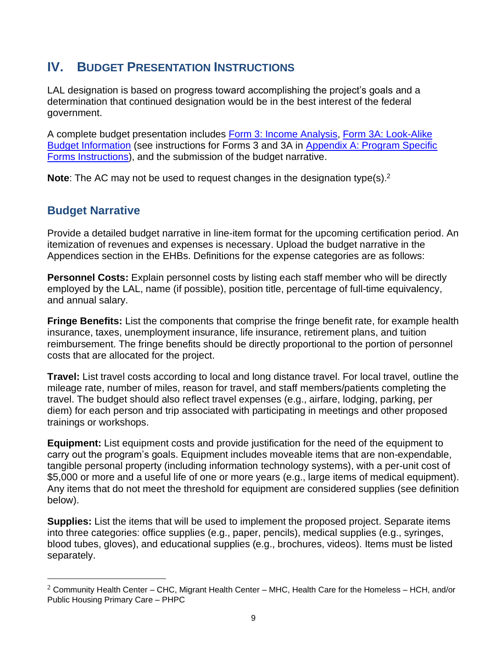# <span id="page-8-0"></span>**IV. BUDGET PRESENTATION INSTRUCTIONS**

LAL designation is based on progress toward accomplishing the project's goals and a determination that continued designation would be in the best interest of the federal government.

A complete budget presentation includes [Form 3: Income Analysis,](#page-10-2) [Form 3A: Look-Alike](#page-14-0)  [Budget Information](#page-14-0) (see instructions for Forms 3 and 3A i[n Appendix A: Program Specific](#page-10-3)  [Forms Instructions\),](#page-10-4) and the submission of the budget narrative.

<span id="page-8-1"></span>**Note**: The AC may not be used to request changes in the designation type(s). 2

### **Budget Narrative**

Provide a detailed budget narrative in line-item format for the upcoming certification period. An itemization of revenues and expenses is necessary. Upload the budget narrative in the Appendices section in the EHBs. Definitions for the expense categories are as follows:

**Personnel Costs:** Explain personnel costs by listing each staff member who will be directly employed by the LAL, name (if possible), position title, percentage of full-time equivalency, and annual salary.

**Fringe Benefits:** List the components that comprise the fringe benefit rate, for example health insurance, taxes, unemployment insurance, life insurance, retirement plans, and tuition reimbursement. The fringe benefits should be directly proportional to the portion of personnel costs that are allocated for the project.

**Travel:** List travel costs according to local and long distance travel. For local travel, outline the mileage rate, number of miles, reason for travel, and staff members/patients completing the travel. The budget should also reflect travel expenses (e.g., airfare, lodging, parking, per diem) for each person and trip associated with participating in meetings and other proposed trainings or workshops.

**Equipment:** List equipment costs and provide justification for the need of the equipment to carry out the program's goals. Equipment includes moveable items that are non-expendable, tangible personal property (including information technology systems), with a per-unit cost of \$5,000 or more and a useful life of one or more years (e.g., large items of medical equipment). Any items that do not meet the threshold for equipment are considered supplies (see definition below).

**Supplies:** List the items that will be used to implement the proposed project. Separate items into three categories: office supplies (e.g., paper, pencils), medical supplies (e.g., syringes, blood tubes, gloves), and educational supplies (e.g., brochures, videos). Items must be listed separately.

 $2$  Community Health Center – CHC, Migrant Health Center – MHC, Health Care for the Homeless – HCH, and/or Public Housing Primary Care – PHPC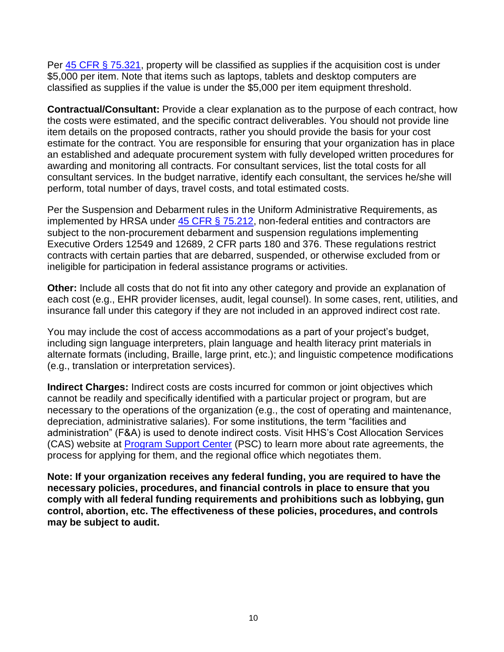Per [45 CFR § 75.321,](https://www.ecfr.gov/cgi-bin/text-idx?node=pt45.1.75) property will be classified as supplies if the acquisition cost is under \$5,000 per item. Note that items such as laptops, tablets and desktop computers are classified as supplies if the value is under the \$5,000 per item equipment threshold.

**Contractual/Consultant:** Provide a clear explanation as to the purpose of each contract, how the costs were estimated, and the specific contract deliverables. You should not provide line item details on the proposed contracts, rather you should provide the basis for your cost estimate for the contract. You are responsible for ensuring that your organization has in place an established and adequate procurement system with fully developed written procedures for awarding and monitoring all contracts. For consultant services, list the total costs for all consultant services. In the budget narrative, identify each consultant, the services he/she will perform, total number of days, travel costs, and total estimated costs.

Per the Suspension and Debarment rules in the Uniform Administrative Requirements, as implemented by HRSA under  $45$  CFR  $\S$  75.212, non-federal entities and contractors are subject to the non-procurement debarment and suspension regulations implementing Executive Orders 12549 and 12689, 2 CFR parts 180 and 376. These regulations restrict contracts with certain parties that are debarred, suspended, or otherwise excluded from or ineligible for participation in federal assistance programs or activities.

**Other:** Include all costs that do not fit into any other category and provide an explanation of each cost (e.g., EHR provider licenses, audit, legal counsel). In some cases, rent, utilities, and insurance fall under this category if they are not included in an approved indirect cost rate.

You may include the cost of access accommodations as a part of your project's budget, including sign language interpreters, plain language and health literacy print materials in alternate formats (including, Braille, large print, etc.); and linguistic competence modifications (e.g., translation or interpretation services).

**Indirect Charges:** Indirect costs are costs incurred for common or joint objectives which cannot be readily and specifically identified with a particular project or program, but are necessary to the operations of the organization (e.g., the cost of operating and maintenance, depreciation, administrative salaries). For some institutions, the term "facilities and administration" (F&A) is used to denote indirect costs. Visit HHS's Cost Allocation Services (CAS) website at [Program Support Center](https://rates.psc.gov/) (PSC) to learn more about rate agreements, the process for applying for them, and the regional office which negotiates them.

**Note: If your organization receives any federal funding, you are required to have the necessary policies, procedures, and financial controls in place to ensure that you comply with all federal funding requirements and prohibitions such as lobbying, gun control, abortion, etc. The effectiveness of these policies, procedures, and controls may be subject to audit.**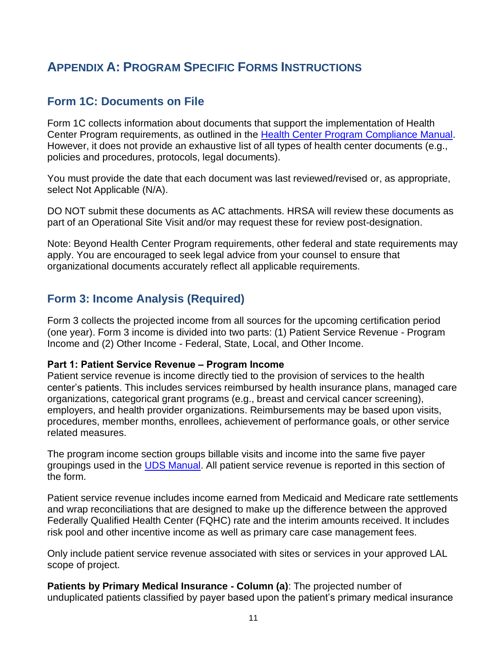# <span id="page-10-4"></span><span id="page-10-3"></span><span id="page-10-1"></span><span id="page-10-0"></span>**APPENDIX A: PROGRAM SPECIFIC FORMS INSTRUCTIONS**

## <span id="page-10-2"></span>**Form 1C: Documents on File**

Form 1C collects information about documents that support the implementation of Health Center Program requirements, as outlined in the [Health Center Program Compliance Manual.](https://bphc.hrsa.gov/programrequirements/compliancemanual/index.html) However, it does not provide an exhaustive list of all types of health center documents (e.g., policies and procedures, protocols, legal documents).

You must provide the date that each document was last reviewed/revised or, as appropriate, select Not Applicable (N/A).

DO NOT submit these documents as AC attachments. HRSA will review these documents as part of an Operational Site Visit and/or may request these for review post-designation.

Note: Beyond Health Center Program requirements, other federal and state requirements may apply. You are encouraged to seek legal advice from your counsel to ensure that organizational documents accurately reflect all applicable requirements.

## **Form 3: Income Analysis (Required)**

Form 3 collects the projected income from all sources for the upcoming certification period (one year). Form 3 income is divided into two parts: (1) Patient Service Revenue - Program Income and (2) Other Income - Federal, State, Local, and Other Income.

#### **Part 1: Patient Service Revenue ‒ Program Income**

Patient service revenue is income directly tied to the provision of services to the health center's patients. This includes services reimbursed by health insurance plans, managed care organizations, categorical grant programs (e.g., breast and cervical cancer screening), employers, and health provider organizations. Reimbursements may be based upon visits, procedures, member months, enrollees, achievement of performance goals, or other service related measures.

The program income section groups billable visits and income into the same five payer groupings used in the **UDS Manual**. All patient service revenue is reported in this section of the form.

Patient service revenue includes income earned from Medicaid and Medicare rate settlements and wrap reconciliations that are designed to make up the difference between the approved Federally Qualified Health Center (FQHC) rate and the interim amounts received. It includes risk pool and other incentive income as well as primary care case management fees.

Only include patient service revenue associated with sites or services in your approved LAL scope of project.

**Patients by Primary Medical Insurance - Column (a)**: The projected number of unduplicated patients classified by payer based upon the patient's primary medical insurance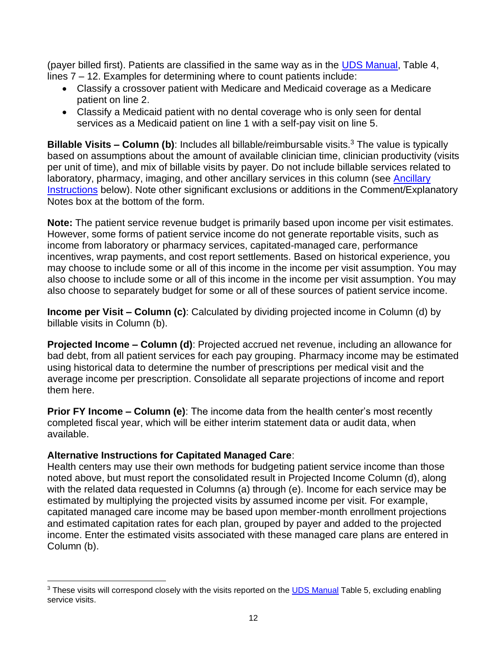(payer billed first). Patients are classified in the same way as in the [UDS Manual,](https://bphc.hrsa.gov/sites/default/files/bphc/datareporting/reporting/2019-uds-manual.pdf) Table 4, lines 7 – 12. Examples for determining where to count patients include:

- Classify a crossover patient with Medicare and Medicaid coverage as a Medicare patient on line 2.
- Classify a Medicaid patient with no dental coverage who is only seen for dental services as a Medicaid patient on line 1 with a self-pay visit on line 5.

**Billable Visits - Column (b)**: Includes all billable/reimbursable visits.<sup>3</sup> The value is typically based on assumptions about the amount of available clinician time, clinician productivity (visits per unit of time), and mix of billable visits by payer. Do not include billable services related to laboratory, pharmacy, imaging, and other ancillary services in this column (see [Ancillary](#page-12-0) [Instructions](#page-12-0) below). Note other significant exclusions or additions in the Comment/Explanatory Notes box at the bottom of the form.

**Note:** The patient service revenue budget is primarily based upon income per visit estimates. However, some forms of patient service income do not generate reportable visits, such as income from laboratory or pharmacy services, capitated-managed care, performance incentives, wrap payments, and cost report settlements. Based on historical experience, you may choose to include some or all of this income in the income per visit assumption. You may also choose to include some or all of this income in the income per visit assumption. You may also choose to separately budget for some or all of these sources of patient service income.

**Income per Visit – Column (c)**: Calculated by dividing projected income in Column (d) by billable visits in Column (b).

**Projected Income – Column (d)**: Projected accrued net revenue, including an allowance for bad debt, from all patient services for each pay grouping. Pharmacy income may be estimated using historical data to determine the number of prescriptions per medical visit and the average income per prescription. Consolidate all separate projections of income and report them here.

**Prior FY Income – Column (e)**: The income data from the health center's most recently completed fiscal year, which will be either interim statement data or audit data, when available.

### **Alternative Instructions for Capitated Managed Care**:

Health centers may use their own methods for budgeting patient service income than those noted above, but must report the consolidated result in Projected Income Column (d), along with the related data requested in Columns (a) through (e). Income for each service may be estimated by multiplying the projected visits by assumed income per visit. For example, capitated managed care income may be based upon member-month enrollment projections and estimated capitation rates for each plan, grouped by payer and added to the projected income. Enter the estimated visits associated with these managed care plans are entered in Column (b).

<sup>&</sup>lt;sup>3</sup> These visits will correspond closely with the visits reported on the **UDS Manual** Table 5, excluding enabling service visits.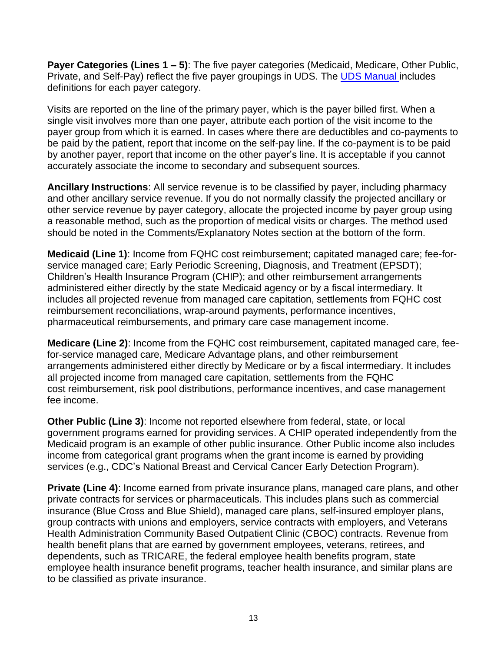**Payer Categories (Lines 1 – 5)**: The five payer categories (Medicaid, Medicare, Other Public, Private, and Self-Pay) reflect the five payer groupings in UDS. The [UDS Manual i](https://bphc.hrsa.gov/sites/default/files/bphc/datareporting/reporting/2019-uds-manual.pdf)ncludes definitions for each payer category.

Visits are reported on the line of the primary payer, which is the payer billed first. When a single visit involves more than one payer, attribute each portion of the visit income to the payer group from which it is earned. In cases where there are deductibles and co-payments to be paid by the patient, report that income on the self-pay line. If the co-payment is to be paid by another payer, report that income on the other payer's line. It is acceptable if you cannot accurately associate the income to secondary and subsequent sources.

<span id="page-12-0"></span>**Ancillary Instructions**: All service revenue is to be classified by payer, including pharmacy and other ancillary service revenue. If you do not normally classify the projected ancillary or other service revenue by payer category, allocate the projected income by payer group using a reasonable method, such as the proportion of medical visits or charges. The method used should be noted in the Comments/Explanatory Notes section at the bottom of the form.

**Medicaid (Line 1)**: Income from FQHC cost reimbursement; capitated managed care; fee-forservice managed care; Early Periodic Screening, Diagnosis, and Treatment (EPSDT); Children's Health Insurance Program (CHIP); and other reimbursement arrangements administered either directly by the state Medicaid agency or by a fiscal intermediary. It includes all projected revenue from managed care capitation, settlements from FQHC cost reimbursement reconciliations, wrap-around payments, performance incentives, pharmaceutical reimbursements, and primary care case management income.

**Medicare (Line 2)**: Income from the FQHC cost reimbursement, capitated managed care, feefor-service managed care, Medicare Advantage plans, and other reimbursement arrangements administered either directly by Medicare or by a fiscal intermediary. It includes all projected income from managed care capitation, settlements from the FQHC cost reimbursement, risk pool distributions, performance incentives, and case management fee income.

**Other Public (Line 3)**: Income not reported elsewhere from federal, state, or local government programs earned for providing services. A CHIP operated independently from the Medicaid program is an example of other public insurance. Other Public income also includes income from categorical grant programs when the grant income is earned by providing services (e.g., CDC's National Breast and Cervical Cancer Early Detection Program).

**Private (Line 4)**: Income earned from private insurance plans, managed care plans, and other private contracts for services or pharmaceuticals. This includes plans such as commercial insurance (Blue Cross and Blue Shield), managed care plans, self-insured employer plans, group contracts with unions and employers, service contracts with employers, and Veterans Health Administration Community Based Outpatient Clinic (CBOC) contracts. Revenue from health benefit plans that are earned by government employees, veterans, retirees, and dependents, such as TRICARE, the federal employee health benefits program, state employee health insurance benefit programs, teacher health insurance, and similar plans are to be classified as private insurance.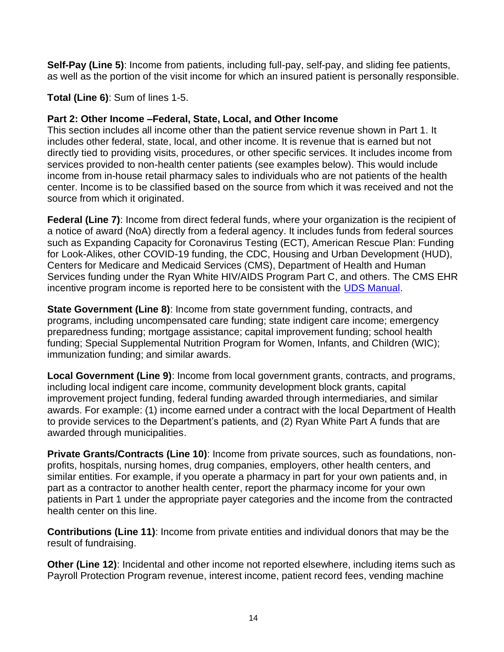**Self-Pay (Line 5)**: Income from patients, including full-pay, self-pay, and sliding fee patients, as well as the portion of the visit income for which an insured patient is personally responsible.

### **Total (Line 6)**: Sum of lines 1-5.

#### **Part 2: Other Income –Federal, State, Local, and Other Income**

This section includes all income other than the patient service revenue shown in Part 1. It includes other federal, state, local, and other income. It is revenue that is earned but not directly tied to providing visits, procedures, or other specific services. It includes income from services provided to non-health center patients (see examples below). This would include income from in-house retail pharmacy sales to individuals who are not patients of the health center. Income is to be classified based on the source from which it was received and not the source from which it originated.

**Federal (Line 7)**: Income from direct federal funds, where your organization is the recipient of a notice of award (NoA) directly from a federal agency. It includes funds from federal sources such as Expanding Capacity for Coronavirus Testing (ECT), American Rescue Plan: Funding for Look-Alikes, other COVID-19 funding, the CDC, Housing and Urban Development (HUD), Centers for Medicare and Medicaid Services (CMS), Department of Health and Human Services funding under the Ryan White HIV/AIDS Program Part C, and others. The CMS EHR incentive program income is reported here to be consistent with the [UDS Manual.](https://bphc.hrsa.gov/sites/default/files/bphc/datareporting/reporting/2019-uds-manual.pdf)

**State Government (Line 8)**: Income from state government funding, contracts, and programs, including uncompensated care funding; state indigent care income; emergency preparedness funding; mortgage assistance; capital improvement funding; school health funding; Special Supplemental Nutrition Program for Women, Infants, and Children (WIC); immunization funding; and similar awards.

**Local Government (Line 9)**: Income from local government grants, contracts, and programs, including local indigent care income, community development block grants, capital improvement project funding, federal funding awarded through intermediaries, and similar awards. For example: (1) income earned under a contract with the local Department of Health to provide services to the Department's patients, and (2) Ryan White Part A funds that are awarded through municipalities.

**Private Grants/Contracts (Line 10)**: Income from private sources, such as foundations, nonprofits, hospitals, nursing homes, drug companies, employers, other health centers, and similar entities. For example, if you operate a pharmacy in part for your own patients and, in part as a contractor to another health center, report the pharmacy income for your own patients in Part 1 under the appropriate payer categories and the income from the contracted health center on this line.

**Contributions (Line 11)**: Income from private entities and individual donors that may be the result of fundraising.

**Other (Line 12)**: Incidental and other income not reported elsewhere, including items such as Payroll Protection Program revenue, interest income, patient record fees, vending machine